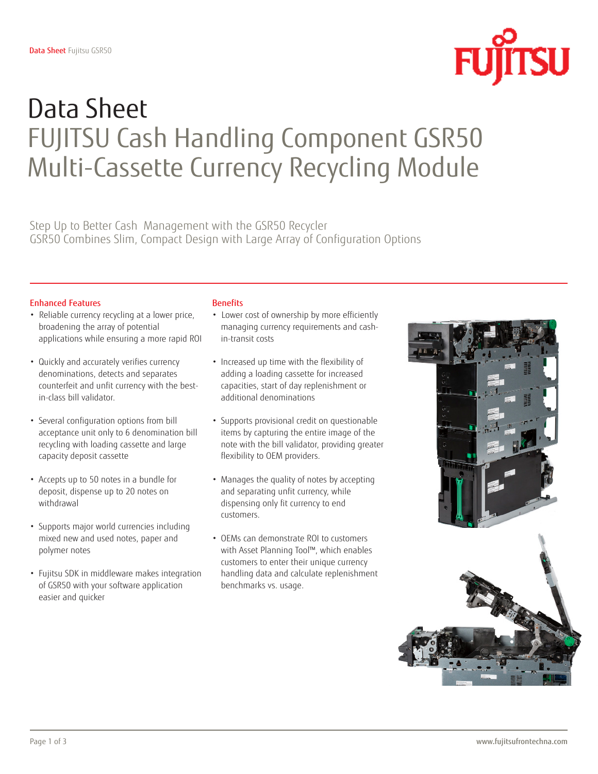

# Data Sheet FUJITSU Cash Handling Component GSR50 Multi-Cassette Currency Recycling Module

Step Up to Better Cash Management with the GSR50 Recycler GSR50 Combines Slim, Compact Design with Large Array of Configuration Options

### Enhanced Features

- Reliable currency recycling at a lower price, broadening the array of potential applications while ensuring a more rapid ROI
- Quickly and accurately verifies currency denominations, detects and separates counterfeit and unfit currency with the bestin-class bill validator.
- Several configuration options from bill acceptance unit only to 6 denomination bill recycling with loading cassette and large capacity deposit cassette
- Accepts up to 50 notes in a bundle for deposit, dispense up to 20 notes on withdrawal
- Supports major world currencies including mixed new and used notes, paper and polymer notes
- Fujitsu SDK in middleware makes integration of GSR50 with your software application easier and quicker

### **Benefits**

- Lower cost of ownership by more efficiently managing currency requirements and cashin-transit costs
- Increased up time with the flexibility of adding a loading cassette for increased capacities, start of day replenishment or additional denominations
- Supports provisional credit on questionable items by capturing the entire image of the note with the bill validator, providing greater flexibility to OEM providers.
- Manages the quality of notes by accepting and separating unfit currency, while dispensing only fit currency to end customers.
- OEMs can demonstrate ROI to customers with Asset Planning Tool™, which enables customers to enter their unique currency handling data and calculate replenishment benchmarks vs. usage.

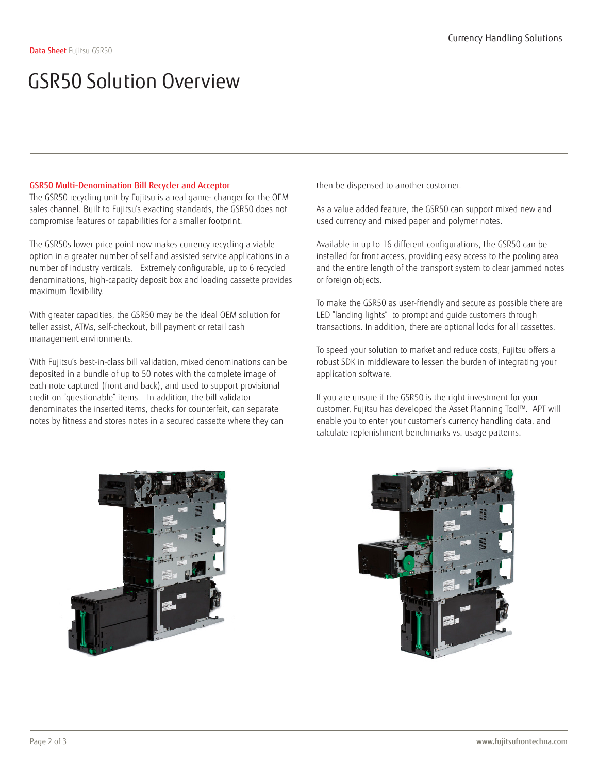### GSR50 Solution Overview

### GSR50 Multi-Denomination Bill Recycler and Acceptor

The GSR50 recycling unit by Fujitsu is a real game- changer for the OEM sales channel. Built to Fujitsu's exacting standards, the GSR50 does not compromise features or capabilities for a smaller footprint.

The GSR50s lower price point now makes currency recycling a viable option in a greater number of self and assisted service applications in a number of industry verticals. Extremely configurable, up to 6 recycled denominations, high-capacity deposit box and loading cassette provides maximum flexibility.

With greater capacities, the GSR50 may be the ideal OEM solution for teller assist, ATMs, self-checkout, bill payment or retail cash management environments.

With Fujitsu's best-in-class bill validation, mixed denominations can be deposited in a bundle of up to 50 notes with the complete image of each note captured (front and back), and used to support provisional credit on "questionable" items. In addition, the bill validator denominates the inserted items, checks for counterfeit, can separate notes by fitness and stores notes in a secured cassette where they can

then be dispensed to another customer.

As a value added feature, the GSR50 can support mixed new and used currency and mixed paper and polymer notes.

Available in up to 16 different configurations, the GSR50 can be installed for front access, providing easy access to the pooling area and the entire length of the transport system to clear jammed notes or foreign objects.

To make the GSR50 as user-friendly and secure as possible there are LED "landing lights" to prompt and guide customers through transactions. In addition, there are optional locks for all cassettes.

To speed your solution to market and reduce costs, Fujitsu offers a robust SDK in middleware to lessen the burden of integrating your application software.

If you are unsure if the GSR50 is the right investment for your customer, Fujitsu has developed the Asset Planning Tool™. APT will enable you to enter your customer's currency handling data, and calculate replenishment benchmarks vs. usage patterns.